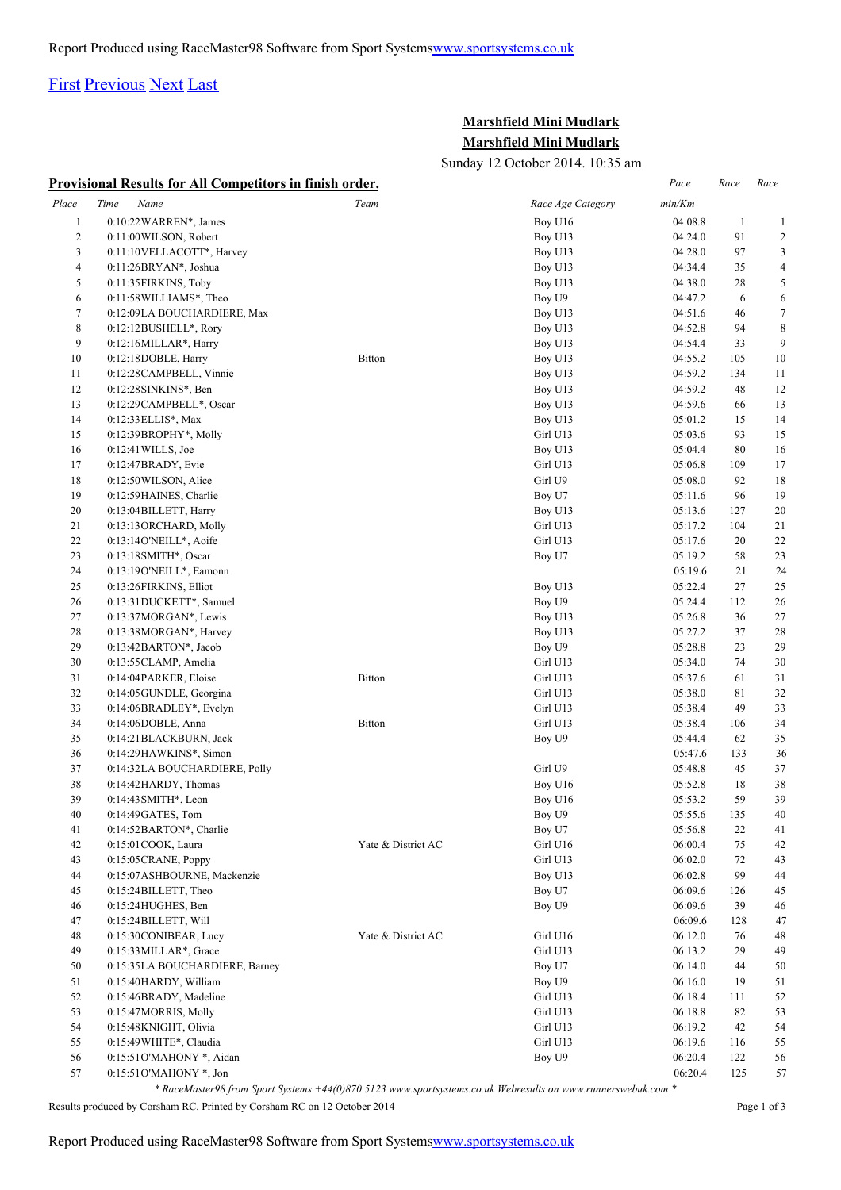## [First](http://www.corshamrunningclub.co.uk/Mudlark/Results/2014/Marshfield Mini Mudlark 2014.html#) [Previous](http://www.corshamrunningclub.co.uk/Mudlark/Results/2014/Marshfield Mini Mudlark 2014.html#) [Next](http://www.corshamrunningclub.co.uk/Mudlark/Results/2014/Marshfield Mini Mudlark 2014Page2.html) [Last](http://www.corshamrunningclub.co.uk/Mudlark/Results/2014/Marshfield Mini Mudlark 2014Page3.html)

## **Marshfield Mini Mudlark Marshfield Mini Mudlark**

Sunday 12 October 2014. 10:35 am

|              | Provisional Results for All Competitors in finish order. |                    |                      | Pace               | Race         | Race             |
|--------------|----------------------------------------------------------|--------------------|----------------------|--------------------|--------------|------------------|
| Place        | Time<br>Name                                             | Team               | Race Age Category    | min/Km             |              |                  |
| $\mathbf{1}$ | 0:10:22 WARREN*, James                                   |                    | Boy U16              | 04:08.8            | $\mathbf{1}$ | $\mathbf{1}$     |
| 2            | 0:11:00WILSON, Robert                                    |                    | Boy U13              | 04:24.0            | 91           | $\overline{2}$   |
| 3            | 0:11:10VELLACOTT*, Harvey                                |                    | Boy U13              | 04:28.0            | 97           | 3                |
| 4            | 0:11:26BRYAN*, Joshua                                    |                    | Boy U13              | 04:34.4            | 35           | $\overline{4}$   |
| 5            | 0:11:35FIRKINS, Toby                                     |                    | Boy U13              | 04:38.0            | 28           | 5                |
| 6            | 0:11:58 WILLIAMS*, Theo                                  |                    | Boy U9               | 04:47.2            | 6            | 6                |
| $\tau$       | 0:12:09LA BOUCHARDIERE, Max                              |                    | Boy U13              | 04:51.6            | 46           | $\boldsymbol{7}$ |
| 8            | 0:12:12BUSHELL*, Rory                                    |                    | Boy U13              | 04:52.8            | 94           | $\,$ 8 $\,$      |
| 9            | $0:12:16$ MILLAR <sup>*</sup> , Harry                    |                    | Boy U13              | 04:54.4            | 33           | 9                |
| 10           | 0:12:18DOBLE, Harry                                      | <b>Bitton</b>      | Boy U13              | 04:55.2            | 105          | 10               |
| 11<br>12     | 0:12:28CAMPBELL, Vinnie<br>$0:12:28$ SINKINS*, Ben       |                    | Boy U13<br>Boy U13   | 04:59.2<br>04:59.2 | 134<br>48    | 11<br>12         |
| 13           | 0:12:29CAMPBELL*, Oscar                                  |                    | Boy U13              | 04:59.6            | 66           | 13               |
| 14           | 0:12:33 ELLIS*, Max                                      |                    | Boy U13              | 05:01.2            | 15           | 14               |
| 15           | 0:12:39BROPHY*, Molly                                    |                    | Girl U13             | 05:03.6            | 93           | 15               |
| 16           | $0:12:41$ WILLS, Joe                                     |                    | Boy U13              | 05:04.4            | 80           | 16               |
| 17           | 0:12:47BRADY, Evie                                       |                    | Girl U13             | 05:06.8            | 109          | 17               |
| 18           | 0:12:50WILSON, Alice                                     |                    | Girl U9              | 05:08.0            | 92           | 18               |
| 19           | 0:12:59HAINES, Charlie                                   |                    | Boy U7               | 05:11.6            | 96           | 19               |
| 20           | 0:13:04BILLETT, Harry                                    |                    | Boy U13              | 05:13.6            | 127          | 20               |
| 21           | 0:13:13 ORCHARD, Molly                                   |                    | Girl U13             | 05:17.2            | 104          | 21               |
| 22           | 0:13:14O'NEILL*, Aoife                                   |                    | Girl U13             | 05:17.6            | 20           | 22               |
| 23           | $0:13:18$ SMITH*, Oscar                                  |                    | Boy U7               | 05:19.2            | 58           | 23               |
| 24           | 0:13:19O'NEILL*, Eamonn                                  |                    |                      | 05:19.6            | 21           | 24               |
| 25           | 0:13:26FIRKINS, Elliot                                   |                    | Boy U13              | 05:22.4            | 27           | 25               |
| 26           | 0:13:31DUCKETT*, Samuel                                  |                    | Boy U9               | 05:24.4            | 112          | 26               |
| 27           | 0:13:37MORGAN*, Lewis                                    |                    | Boy U13              | 05:26.8            | 36           | 27               |
| 28           | 0:13:38MORGAN*, Harvey                                   |                    | Boy U13              | 05:27.2            | 37           | 28               |
| 29           | $0:13:42$ BARTON*, Jacob                                 |                    | Boy U9               | 05:28.8            | 23           | 29               |
| 30           | 0:13:55CLAMP, Amelia                                     |                    | Girl U13             | 05:34.0            | 74           | 30               |
| 31           | 0:14:04PARKER, Eloise                                    | <b>Bitton</b>      | Girl U13             | 05:37.6            | 61           | 31               |
| 32           | 0:14:05 GUNDLE, Georgina                                 |                    | Girl U13             | 05:38.0            | 81           | 32               |
| 33<br>34     | 0:14:06BRADLEY*, Evelyn<br>0:14:06DOBLE, Anna            | <b>Bitton</b>      | Girl U13<br>Girl U13 | 05:38.4<br>05:38.4 | 49<br>106    | 33<br>34         |
| 35           | 0:14:21BLACKBURN, Jack                                   |                    | Boy U9               | 05:44.4            | 62           | 35               |
| 36           | 0:14:29HAWKINS*, Simon                                   |                    |                      | 05:47.6            | 133          | 36               |
| 37           | 0:14:32LA BOUCHARDIERE, Polly                            |                    | Girl U9              | 05:48.8            | 45           | 37               |
| 38           | 0:14:42 HARDY, Thomas                                    |                    | Boy U16              | 05:52.8            | 18           | 38               |
| 39           | 0:14:43 SMITH*, Leon                                     |                    | Boy U16              | 05:53.2            | 59           | 39               |
| $40\,$       | 0:14:49GATES, Tom                                        |                    | Boy U9               | 05:55.6            | 135          | 40               |
| 41           | 0:14:52BARTON*, Charlie                                  |                    | Boy U7               | 05:56.8            | 22           | 41               |
| 42           | 0:15:01COOK, Laura                                       | Yate & District AC | Girl U16             | 06:00.4            | 75           | 42               |
| 43           | 0:15:05 CRANE, Poppy                                     |                    | Girl U13             | 06:02.0            | 72           | 43               |
| 44           | 0:15:07ASHBOURNE, Mackenzie                              |                    | Boy U13              | 06:02.8            | 99           | 44               |
| 45           | 0:15:24BILLETT, Theo                                     |                    | Boy U7               | 06:09.6            | 126          | 45               |
| 46           | 0:15:24HUGHES, Ben                                       |                    | Boy U9               | 06:09.6            | 39           | 46               |
| 47           | 0:15:24BILLETT, Will                                     |                    |                      | 06:09.6            | 128          | 47               |
| 48           | 0:15:30CONIBEAR, Lucy                                    | Yate & District AC | Girl U16             | 06:12.0            | 76           | 48               |
| 49           | 0:15:33 MILLAR*, Grace                                   |                    | Girl U13             | 06:13.2            | 29           | 49               |
| 50           | 0:15:35LA BOUCHARDIERE, Barney                           |                    | Boy U7               | 06:14.0            | 44           | 50               |
| 51           | 0:15:40HARDY, William                                    |                    | Boy U9               | 06:16.0            | 19           | 51               |
| 52           | 0:15:46BRADY, Madeline                                   |                    | Girl U13             | 06:18.4            | 111          | 52               |
| 53           | 0:15:47MORRIS, Molly                                     |                    | Girl U13             | 06:18.8            | 82           | 53               |
| 54           | 0:15:48KNIGHT, Olivia                                    |                    | Girl U13             | 06:19.2            | 42           | 54               |
| 55<br>56     | 0:15:49 WHITE*, Claudia<br>0:15:51O'MAHONY *, Aidan      |                    | Girl U13             | 06:19.6<br>06:20.4 | 116<br>122   | 55               |
| 57           | 0:15:51O'MAHONY *, Jon                                   |                    | Boy U9               | 06:20.4            | 125          | 56<br>57         |
|              |                                                          |                    |                      |                    |              |                  |

*\* RaceMaster98 from Sport Systems +44(0)870 5123 www.sportsystems.co.uk Webresults on www.runnerswebuk.com \**

Results produced by Corsham RC. Printed by Corsham RC on 12 October 2014 Page 1 of 3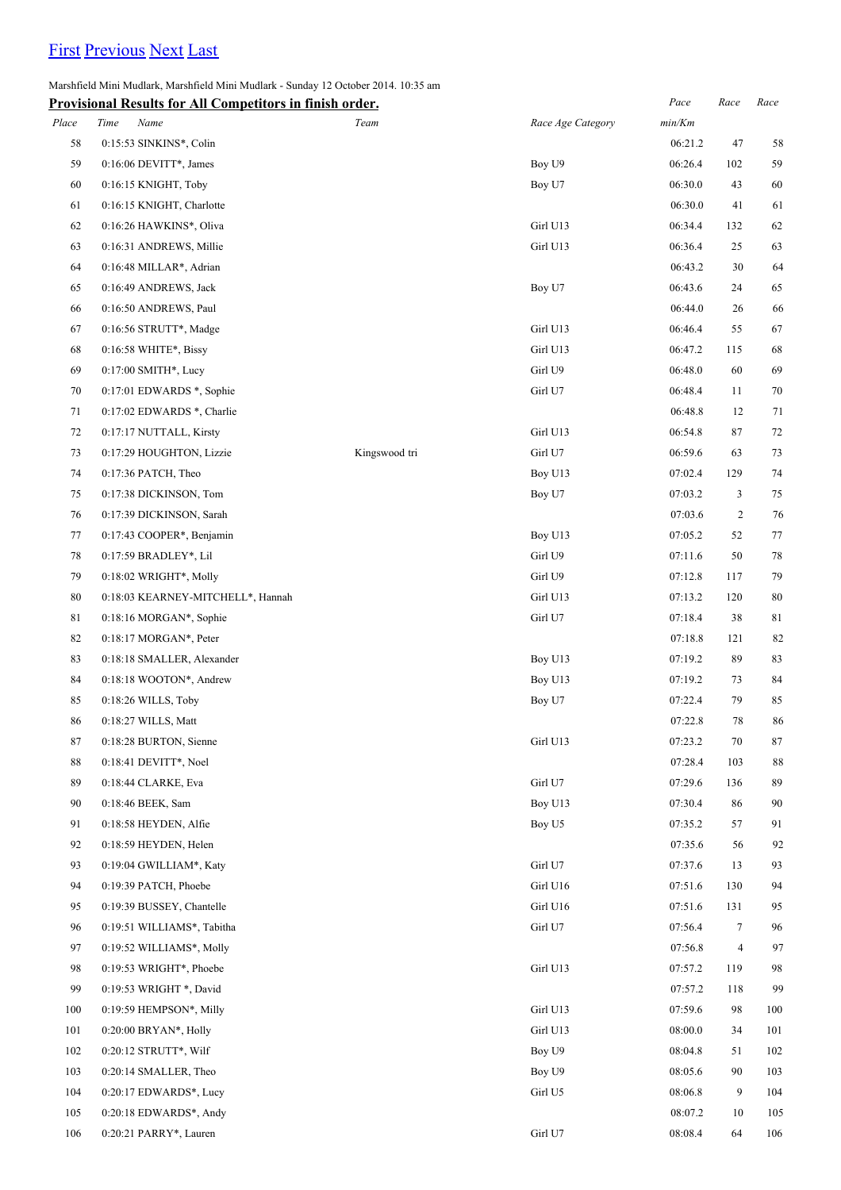## [First](http://www.corshamrunningclub.co.uk/Mudlark/Results/2014/Marshfield Mini Mudlark.html) [Previous](http://www.corshamrunningclub.co.uk/Mudlark/Results/2014/Marshfield Mini Mudlark 2014.html) [Next](http://www.corshamrunningclub.co.uk/Mudlark/Results/2014/Marshfield Mini Mudlark 2014Page3.html) [Last](http://www.corshamrunningclub.co.uk/Mudlark/Results/2014/Marshfield Mini Mudlark 2014Page3.html)

Marshfield Mini Mudlark, Marshfield Mini Mudlark - Sunday 12 October 2014. 10:35 am

|       | Provisional Results for All Competitors in finish order. |               |                   | Pace    | Race           | Race   |
|-------|----------------------------------------------------------|---------------|-------------------|---------|----------------|--------|
| Place | Time<br>Name                                             | Team          | Race Age Category | min/Km  |                |        |
| 58    | 0:15:53 SINKINS*, Colin                                  |               |                   | 06:21.2 | 47             | 58     |
| 59    | 0:16:06 DEVITT*, James                                   |               | Boy U9            | 06:26.4 | 102            | 59     |
| 60    | 0:16:15 KNIGHT, Toby                                     |               | Boy U7            | 06:30.0 | 43             | 60     |
| 61    | 0:16:15 KNIGHT, Charlotte                                |               |                   | 06:30.0 | 41             | 61     |
| 62    | 0:16:26 HAWKINS*, Oliva                                  |               | Girl U13          | 06:34.4 | 132            | 62     |
| 63    | 0:16:31 ANDREWS, Millie                                  |               | Girl U13          | 06:36.4 | 25             | 63     |
| 64    | 0:16:48 MILLAR*, Adrian                                  |               |                   | 06:43.2 | 30             | 64     |
| 65    | 0:16:49 ANDREWS, Jack                                    |               | Boy U7            | 06:43.6 | 24             | 65     |
| 66    | 0:16:50 ANDREWS, Paul                                    |               |                   | 06:44.0 | 26             | 66     |
| 67    | 0:16:56 STRUTT*, Madge                                   |               | Girl U13          | 06:46.4 | 55             | 67     |
| 68    | 0:16:58 WHITE*, Bissy                                    |               | Girl U13          | 06:47.2 | 115            | 68     |
| 69    | 0:17:00 SMITH*, Lucy                                     |               | Girl U9           | 06:48.0 | 60             | 69     |
| 70    | 0:17:01 EDWARDS *, Sophie                                |               | Girl U7           | 06:48.4 | 11             | 70     |
| 71    | 0:17:02 EDWARDS *, Charlie                               |               |                   | 06:48.8 | 12             | 71     |
| 72    | 0:17:17 NUTTALL, Kirsty                                  |               | Girl U13          | 06:54.8 | 87             | 72     |
| 73    | 0:17:29 HOUGHTON, Lizzie                                 | Kingswood tri | Girl U7           | 06:59.6 | 63             | 73     |
| 74    | 0:17:36 PATCH, Theo                                      |               | Boy U13           | 07:02.4 | 129            | 74     |
| 75    | 0:17:38 DICKINSON, Tom                                   |               | Boy U7            | 07:03.2 | 3              | 75     |
| 76    | 0:17:39 DICKINSON, Sarah                                 |               |                   | 07:03.6 | $\overline{c}$ | 76     |
| 77    | 0:17:43 COOPER*, Benjamin                                |               | Boy U13           | 07:05.2 | 52             | 77     |
| 78    | 0:17:59 BRADLEY*, Lil                                    |               | Girl U9           | 07:11.6 | 50             | 78     |
| 79    | 0:18:02 WRIGHT*, Molly                                   |               | Girl U9           | 07:12.8 | 117            | 79     |
| 80    | 0:18:03 KEARNEY-MITCHELL*, Hannah                        |               | Girl U13          | 07:13.2 | 120            | $80\,$ |
| 81    | 0:18:16 MORGAN*, Sophie                                  |               | Girl U7           | 07:18.4 | 38             | 81     |
| 82    | 0:18:17 MORGAN*, Peter                                   |               |                   | 07:18.8 | 121            | 82     |
| 83    | 0:18:18 SMALLER, Alexander                               |               | Boy U13           | 07:19.2 | 89             | 83     |
| 84    | 0:18:18 WOOTON*, Andrew                                  |               | Boy U13           | 07:19.2 | 73             | 84     |
| 85    | 0:18:26 WILLS, Toby                                      |               | Boy U7            | 07:22.4 | 79             | 85     |
| 86    | 0:18:27 WILLS, Matt                                      |               |                   | 07:22.8 | 78             | 86     |
| 87    | 0:18:28 BURTON, Sienne                                   |               | Girl U13          | 07:23.2 | 70             | 87     |
| 88    | 0:18:41 DEVITT*, Noel                                    |               |                   | 07:28.4 | 103            | $88\,$ |
| 89    | 0:18:44 CLARKE, Eva                                      |               | Girl U7           | 07:29.6 | 136            | 89     |
| 90    | 0:18:46 BEEK, Sam                                        |               | Boy U13           | 07:30.4 | 86             | 90     |
| 91    | 0:18:58 HEYDEN, Alfie                                    |               | Boy U5            | 07:35.2 | 57             | 91     |
| 92    | 0:18:59 HEYDEN, Helen                                    |               |                   | 07:35.6 | 56             | 92     |
| 93    | 0:19:04 GWILLIAM*, Katy                                  |               | Girl U7           | 07:37.6 | 13             | 93     |
| 94    | 0:19:39 PATCH, Phoebe                                    |               | Girl U16          | 07:51.6 | 130            | 94     |
| 95    | 0:19:39 BUSSEY, Chantelle                                |               | Girl U16          | 07:51.6 | 131            | 95     |
| 96    | 0:19:51 WILLIAMS*, Tabitha                               |               | Girl U7           | 07:56.4 | 7              | 96     |
| 97    | 0:19:52 WILLIAMS*, Molly                                 |               |                   | 07:56.8 | $\overline{4}$ | 97     |
| 98    | 0:19:53 WRIGHT*, Phoebe                                  |               | Girl U13          | 07:57.2 | 119            | 98     |
| 99    | 0:19:53 WRIGHT *, David                                  |               |                   | 07:57.2 | 118            | 99     |
| 100   | 0:19:59 HEMPSON*, Milly                                  |               | Girl U13          | 07:59.6 | 98             | 100    |
| 101   | 0:20:00 BRYAN*, Holly                                    |               | Girl U13          | 08:00.0 | 34             | 101    |
| 102   | 0:20:12 STRUTT*, Wilf                                    |               | Boy U9            | 08:04.8 | 51             | 102    |
| 103   | 0:20:14 SMALLER, Theo                                    |               | Boy U9            | 08:05.6 | 90             | 103    |
| 104   | 0:20:17 EDWARDS*, Lucy                                   |               | Girl U5           | 08:06.8 | 9              | 104    |
| 105   | 0:20:18 EDWARDS*, Andy                                   |               |                   | 08:07.2 | 10             | 105    |
| 106   | 0:20:21 PARRY*, Lauren                                   |               | Girl U7           | 08:08.4 | 64             | 106    |